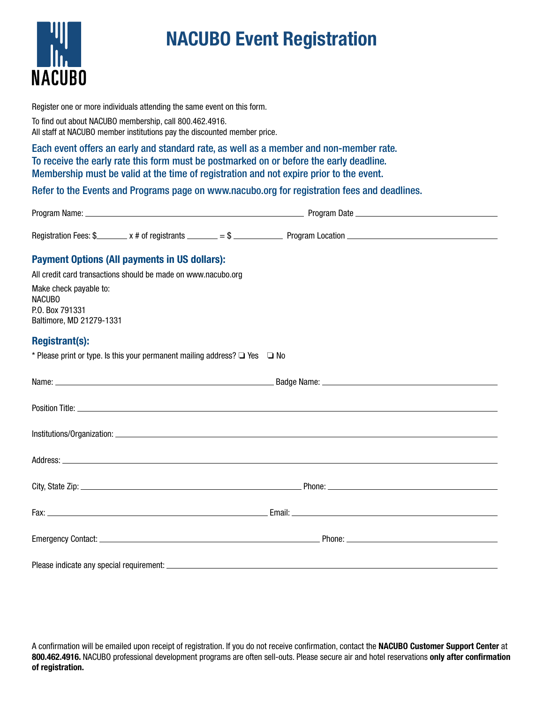

## NACUBO Event Registration

Register one or more individuals attending the same event on this form.

To find out about NACUBO membership, call 800.462.4916. All staff at NACUBO member institutions pay the discounted member price.

Each event offers an early and standard rate, as well as a member and non-member rate. To receive the early rate this form must be postmarked on or before the early deadline. Membership must be valid at the time of registration and not expire prior to the event.

Refer to the Events and Programs page on www.nacubo.org for registration fees and deadlines.

| Program Name:         |                    |                          | Program Date     |  |
|-----------------------|--------------------|--------------------------|------------------|--|
| Registration Fees: \$ | x # of registrants | $\overline{\phantom{0}}$ | Program Location |  |

## Payment Options (All payments in US dollars):

| All credit card transactions should be made on www.nacubo.org |
|---------------------------------------------------------------|
| Make check pavable to:                                        |
| <b>NACUBO</b>                                                 |
| P.O. Box 791331                                               |
| Baltimore, MD 21279-1331                                      |

## Registrant(s):

\* Please print or type. Is this your permanent mailing address?  $\Box$  Yes  $\Box$  No

A confirmation will be emailed upon receipt of registration. If you do not receive confirmation, contact the NACUBO Customer Support Center at 800.462.4916. NACUBO professional development programs are often sell-outs. Please secure air and hotel reservations only after confirmation of registration.